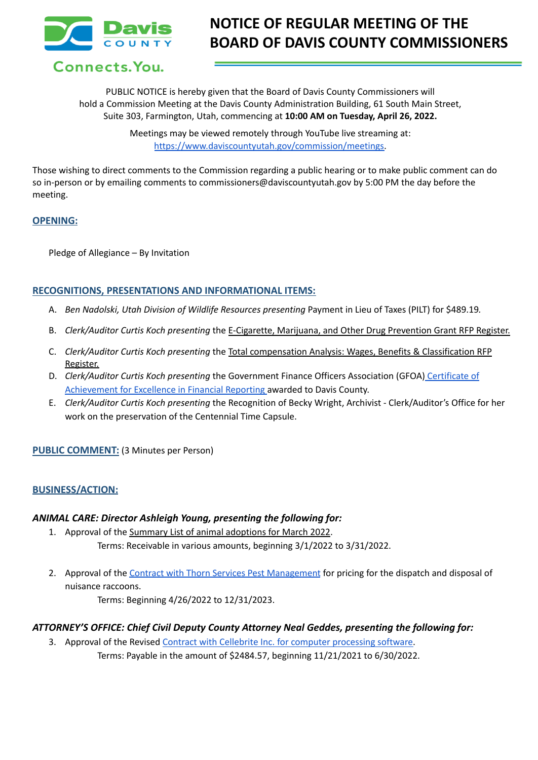

Connects. You.

# **NOTICE OF REGULAR MEETING OF THE BOARD OF DAVIS COUNTY COMMISSIONERS**

PUBLIC NOTICE is hereby given that the Board of Davis County Commissioners will hold a Commission Meeting at the Davis County Administration Building, 61 South Main Street, Suite 303, Farmington, Utah, commencing at **10:00 AM on Tuesday, April 26, 2022.**

> Meetings may be viewed remotely through YouTube live streaming at: [https://www.daviscountyutah.gov/commission/meetings.](https://www.daviscountyutah.gov/commission/meetings)

Those wishing to direct comments to the Commission regarding a public hearing or to make public comment can do so in-person or by emailing comments to commissioners@daviscountyutah.gov by 5:00 PM the day before the meeting.

## **OPENING:**

Pledge of Allegiance – By Invitation

# **RECOGNITIONS, PRESENTATIONS AND INFORMATIONAL ITEMS:**

- A. *Ben Nadolski, Utah Division of Wildlife Resources presenting* Payment in Lieu of Taxes (PILT) for \$489.19*.*
- B. *Clerk/Auditor Curtis Koch presenting* the E-Cigarette, Marijuana, and Other Drug Prevention Grant RFP Register.
- C. *Clerk/Auditor Curtis Koch presenting* the Total compensation Analysis: Wages, Benefits & Classification RFP Register.
- D. *Clerk/Auditor Curtis Koch presenting* the Government Finance Officers Association (GFOA) [Certificate](https://drive.google.com/file/d/1ZUx-rDuIGDlq-sqVEXG8azWSNn05xfSN/view?usp=sharing) of [Achievement](https://drive.google.com/file/d/1ZUx-rDuIGDlq-sqVEXG8azWSNn05xfSN/view?usp=sharing) for Excellence in Financial Reporting awarded to Davis County.
- E. *Clerk/Auditor Curtis Koch presenting* the Recognition of Becky Wright, Archivist Clerk/Auditor's Office for her work on the preservation of the Centennial Time Capsule.

## **PUBLIC COMMENT:** (3 Minutes per Person)

# **BUSINESS/ACTION:**

## *ANIMAL CARE: Director Ashleigh Young, presenting the following for:*

- 1. Approval of the Summary List of animal adoptions for March 2022. Terms: Receivable in various amounts, beginning 3/1/2022 to 3/31/2022.
- 2. Approval of the Contract with Thorn Services Pest [Management](https://drive.google.com/file/d/1Dy8Rw8MoTUDLrOWsbkxMgGurn6TBAIs7/view?usp=sharing) for pricing for the dispatch and disposal of nuisance raccoons.

Terms: Beginning 4/26/2022 to 12/31/2023.

## *ATTORNEY'S OFFICE: Chief Civil Deputy County Attorney Neal Geddes, presenting the following for:*

3. Approval of the Revised Contract with Cellebrite Inc. for computer [processing](https://drive.google.com/file/d/1RkAMykapF3QSk66MhqUABZPkFvm-CAF5/view?usp=sharing) software. Terms: Payable in the amount of \$2484.57, beginning 11/21/2021 to 6/30/2022.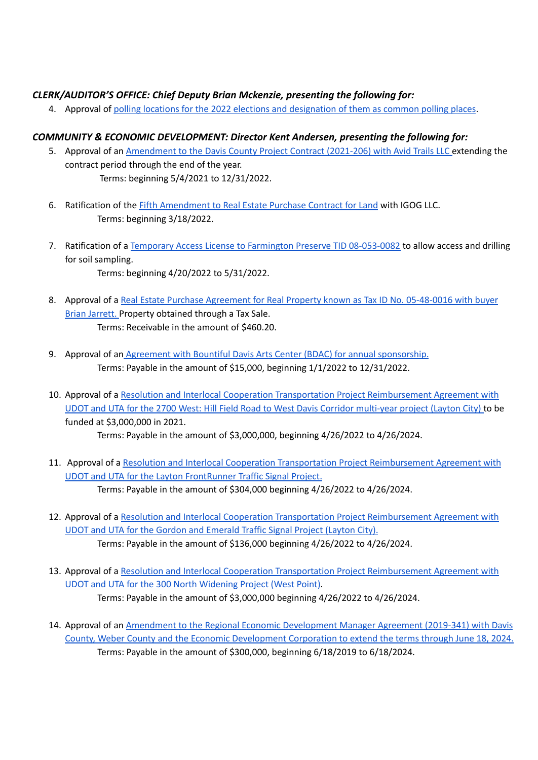## *CLERK/AUDITOR'S OFFICE: Chief Deputy Brian Mckenzie, presenting the following for:*

4. Approval of polling locations for the 2022 elections and [designation](https://drive.google.com/file/d/1Qqt4s4p30AKUgIp8DMDhZyPCQjxbahPS/view?usp=sharing) of them as common polling places.

# *COMMUNITY & ECONOMIC DEVELOPMENT: Director Kent Andersen, presenting the following for:*

- 5. Approval of an [Amendment](https://drive.google.com/file/d/1RZCsD3Nb_4ik5BH8IgEyNikZfpOCTW64/view?usp=sharing) to the Davis County Project Contract (2021-206) with Avid Trails LLC extending the contract period through the end of the year. Terms: beginning 5/4/2021 to 12/31/2022.
- 6. Ratification of the Fifth [Amendment](https://drive.google.com/file/d/18l18eUHfF8tYM8kRtxGftQguFriPehCC/view?usp=sharing) to Real Estate Purchase Contract for Land with IGOG LLC. Terms: beginning 3/18/2022.
- 7. Ratification of a Temporary Access License to Farmington Preserve TID [08-053-0082](https://drive.google.com/file/d/1KuL2EMNUmRBrH7rf9mWpT6bY2RyUTIpz/view?usp=sharing) to allow access and drilling for soil sampling.
	- Terms: beginning 4/20/2022 to 5/31/2022.
- 8. Approval of a Real Estate Purchase Agreement for Real Property known as Tax ID No. [05-48-0016](https://drive.google.com/file/d/10JoC0Ssgenxf6cwHHWpwKjmxNVL0pyO3/view?usp=sharing) with buyer Brian [Jarrett.](https://drive.google.com/file/d/10JoC0Ssgenxf6cwHHWpwKjmxNVL0pyO3/view?usp=sharing) Property obtained through a Tax Sale. Terms: Receivable in the amount of \$460.20.
- 9. Approval of an Agreement with Bountiful Davis Arts Center (BDAC) for annual [sponsorship.](https://drive.google.com/file/d/11J6Zk4U7C4Fb3YutwshL4dN7hgM2vPGw/view?usp=sharing) Terms: Payable in the amount of \$15,000, beginning 1/1/2022 to 12/31/2022.
- 10. Approval of a Resolution and Interlocal Cooperation Transportation Project [Reimbursement](https://drive.google.com/file/d/1ffAboiq1CeJyHUZ3WbaeJVVrB33eiwWW/view?usp=sharing) Agreement with UDOT and UTA for the 2700 West: Hill Field Road to West Davis Corridor [multi-year](https://drive.google.com/file/d/1ffAboiq1CeJyHUZ3WbaeJVVrB33eiwWW/view?usp=sharing) project (Layton City) to be funded at \$3,000,000 in 2021.

Terms: Payable in the amount of \$3,000,000, beginning 4/26/2022 to 4/26/2024.

- 11. Approval of a Resolution and Interlocal Cooperation Transportation Project [Reimbursement](https://drive.google.com/file/d/1a4H3TgDN2EaNBpQUUZWfiHlog9kGmbpi/view?usp=sharing) Agreement with UDOT and UTA for the Layton [FrontRunner](https://drive.google.com/file/d/1a4H3TgDN2EaNBpQUUZWfiHlog9kGmbpi/view?usp=sharing) Traffic Signal Project. Terms: Payable in the amount of \$304,000 beginning 4/26/2022 to 4/26/2024.
- 12. Approval of a Resolution and Interlocal Cooperation Transportation Project [Reimbursement](https://drive.google.com/file/d/1VE5d0uqrruEcFUjfc0a9L-vsCsnHFMzF/view?usp=sharing) Agreement with UDOT and UTA for the Gordon and [Emerald](https://drive.google.com/file/d/1VE5d0uqrruEcFUjfc0a9L-vsCsnHFMzF/view?usp=sharing) Traffic Signal Project (Layton City). Terms: Payable in the amount of \$136,000 beginning 4/26/2022 to 4/26/2024.
- 13. Approval of a Resolution and Interlocal Cooperation Transportation Project [Reimbursement](https://drive.google.com/file/d/1IUQRhHLH_cx0t1MIRtsfzwthyjGMr2RR/view?usp=sharing) Agreement with UDOT and UTA for the 300 North [Widening](https://drive.google.com/file/d/1IUQRhHLH_cx0t1MIRtsfzwthyjGMr2RR/view?usp=sharing) Project (West Point). Terms: Payable in the amount of \$3,000,000 beginning 4/26/2022 to 4/26/2024.
- 14. Approval of an Amendment to the Regional Economic [Development](https://drive.google.com/file/d/1rvxe5hn5r89268huK3aDU26IlRUKJs3x/view?usp=sharing) Manager Agreement (2019-341) with Davis County, Weber County and the Economic [Development](https://drive.google.com/file/d/1rvxe5hn5r89268huK3aDU26IlRUKJs3x/view?usp=sharing) Corporation to extend the terms through June 18, 2024. Terms: Payable in the amount of \$300,000, beginning 6/18/2019 to 6/18/2024.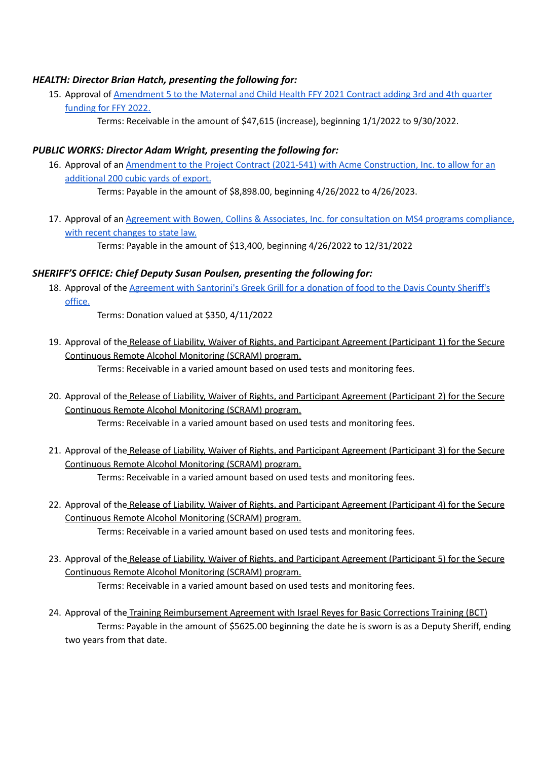## *HEALTH: Director Brian Hatch, presenting the following for:*

- 15. Approval of [Amendment](https://drive.google.com/file/d/1m6d2TgEEasbzE6rPfJxnAUPiW82F90dP/view?usp=sharing) 5 to the Maternal and Child Health FFY 2021 Contract adding 3rd and 4th quarter [funding](https://drive.google.com/file/d/1m6d2TgEEasbzE6rPfJxnAUPiW82F90dP/view?usp=sharing) for FFY 2022.
	- Terms: Receivable in the amount of \$47,615 (increase), beginning 1/1/2022 to 9/30/2022.

## *PUBLIC WORKS: Director Adam Wright, presenting the following for:*

16. Approval of an Amendment to the Project Contract (2021-541) with Acme [Construction,](https://drive.google.com/file/d/1f1jJ9OXVyQ24SF34Gv-Xe-k6q6-qWrwW/view?usp=sharing) Inc. to allow for an [additional](https://drive.google.com/file/d/1f1jJ9OXVyQ24SF34Gv-Xe-k6q6-qWrwW/view?usp=sharing) 200 cubic yards of export.

Terms: Payable in the amount of \$8,898.00, beginning 4/26/2022 to 4/26/2023.

17. Approval of an Agreement with Bowen, Collins & Associates, Inc. for [consultation](https://drive.google.com/file/d/129_nDb8yfoH0_HV-uuzMMuxn4LwSY3L1/view?usp=sharing) on MS4 programs compliance, with recent [changes](https://drive.google.com/file/d/129_nDb8yfoH0_HV-uuzMMuxn4LwSY3L1/view?usp=sharing) to state law.

Terms: Payable in the amount of \$13,400, beginning 4/26/2022 to 12/31/2022

# *SHERIFF'S OFFICE: Chief Deputy Susan Poulsen, presenting the following for:*

18. Approval of the [Agreement](https://drive.google.com/file/d/1gtHzA-2aHqWD2Bo28yjuqskg911WWAnr/view?usp=sharing) with Santorini's Greek Grill for a donation of food to the Davis County Sheriff's [office.](https://drive.google.com/file/d/1gtHzA-2aHqWD2Bo28yjuqskg911WWAnr/view?usp=sharing)

Terms: Donation valued at \$350, 4/11/2022

19. Approval of the Release of Liability, Waiver of Rights, and Participant Agreement (Participant 1) for the Secure Continuous Remote Alcohol Monitoring (SCRAM) program.

Terms: Receivable in a varied amount based on used tests and monitoring fees.

- 20. Approval of the Release of Liability, Waiver of Rights, and Participant Agreement (Participant 2) for the Secure Continuous Remote Alcohol Monitoring (SCRAM) program. Terms: Receivable in a varied amount based on used tests and monitoring fees.
- 21. Approval of the Release of Liability, Waiver of Rights, and Participant Agreement (Participant 3) for the Secure Continuous Remote Alcohol Monitoring (SCRAM) program. Terms: Receivable in a varied amount based on used tests and monitoring fees.
- 22. Approval of the Release of Liability, Waiver of Rights, and Participant Agreement (Participant 4) for the Secure Continuous Remote Alcohol Monitoring (SCRAM) program. Terms: Receivable in a varied amount based on used tests and monitoring fees.
- 23. Approval of the Release of Liability, Waiver of Rights, and Participant Agreement (Participant 5) for the Secure Continuous Remote Alcohol Monitoring (SCRAM) program. Terms: Receivable in a varied amount based on used tests and monitoring fees.
- 24. Approval of the Training Reimbursement Agreement with Israel Reyes for Basic Corrections Training (BCT) Terms: Payable in the amount of \$5625.00 beginning the date he is sworn is as a Deputy Sheriff, ending two years from that date.